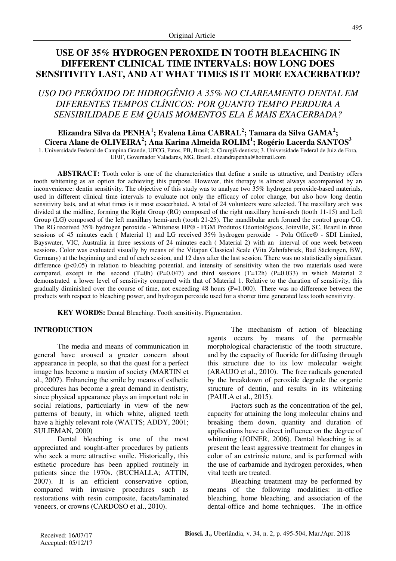# **USE OF 35% HYDROGEN PEROXIDE IN TOOTH BLEACHING IN DIFFERENT CLINICAL TIME INTERVALS: HOW LONG DOES SENSITIVITY LAST, AND AT WHAT TIMES IS IT MORE EXACERBATED?**

# *USO DO PERÓXIDO DE HIDROGÊNIO A 35% NO CLAREAMENTO DENTAL EM DIFERENTES TEMPOS CLÍNICOS: POR QUANTO TEMPO PERDURA A SENSIBILIDADE E EM QUAIS MOMENTOS ELA É MAIS EXACERBADA?*

**Elizandra Silva da PENHA<sup>1</sup> ; Evalena Lima CABRAL<sup>2</sup> ; Tamara da Silva GAMA<sup>2</sup> ; Cicera Alane de OLIVEIRA<sup>2</sup> ; Ana Karina Almeida ROLIM<sup>1</sup> ; Rogério Lacerda SANTOS<sup>3</sup>**

1. Universidade Federal de Campina Grande, UFCG, Patos, PB, Brasil; 2. Cirurgiã-dentista; 3. Universidade Federal de Juiz de Fora, UFJF, Governador Valadares, MG, Brasil. elizandrapenha@hotmail.com

**ABSTRACT:** Tooth color is one of the characteristics that define a smile as attractive, and Dentistry offers tooth whitening as an option for achieving this purpose. However, this therapy is almost always accompanied by an inconvenience: dentin sensitivity. The objective of this study was to analyze two 35% hydrogen peroxide-based materials, used in different clinical time intervals to evaluate not only the efficacy of color change, but also how long dentin sensitivity lasts, and at what times is it most exacerbated. A total of 24 volunteers were selected. The maxillary arch was divided at the midline, forming the Right Group (RG) composed of the right maxillary hemi-arch (tooth 11-15) and Left Group (LG) composed of the left maxillary hemi-arch (tooth 21-25). The mandibular arch formed the control group CG. The RG received 35% hydrogen peroxide - Whiteness HP® - FGM Produtos Odontológicos, Joinville, SC, Brazil in three sessions of 45 minutes each ( Material 1) and LG received 35% hydrogen peroxide - Pola Office® - SDI Limited, Bayswater, VIC, Australia in three sessions of 24 minutes each ( Material 2) with an interval of one week between sessions. Color was evaluated visually by means of the Vitapan Classical Scale (Vita Zahnfabrick, Bad Säckingen, BW, Germany) at the beginning and end of each session, and 12 days after the last session. There was no statistically significant difference  $(p<0.05)$  in relation to bleaching potential, and intensity of sensitivity when the two materials used were compared, except in the second  $(T=0h)$   $(P=0.047)$  and third sessions  $(T=12h)$   $(P=0.033)$  in which Material 2 demonstrated a lower level of sensitivity compared with that of Material 1. Relative to the duration of sensitivity, this gradually diminished over the course of time, not exceeding 48 hours (P=1.000). There was no difference between the products with respect to bleaching power, and hydrogen peroxide used for a shorter time generated less tooth sensitivity.

**KEY WORDS:** Dental Bleaching. Tooth sensitivity. Pigmentation.

# **INTRODUCTION**

The media and means of communication in general have aroused a greater concern about appearance in people, so that the quest for a perfect image has become a maxim of society (MARTIN et al., 2007). Enhancing the smile by means of esthetic procedures has become a great demand in dentistry, since physical appearance plays an important role in social relations, particularly in view of the new patterns of beauty, in which white, aligned teeth have a highly relevant role (WATTS; ADDY, 2001; SULIEMAN, 2000)

Dental bleaching is one of the most appreciated and sought-after procedures by patients who seek a more attractive smile. Historically, this esthetic procedure has been applied routinely in patients since the 1970s. (BUCHALLA; ATTIN, 2007). It is an efficient conservative option, compared with invasive procedures such as restorations with resin composite, facets/laminated veneers, or crowns (CARDOSO et al., 2010).

The mechanism of action of bleaching agents occurs by means of the permeable morphological characteristic of the tooth structure, and by the capacity of fluoride for diffusing through this structure due to its low molecular weight (ARAUJO et al., 2010). The free radicals generated by the breakdown of peroxide degrade the organic structure of dentin, and results in its whitening (PAULA et al., 2015).

Factors such as the concentration of the gel, capacity for attaining the long molecular chains and breaking them down, quantity and duration of applications have a direct influence on the degree of whitening (JOINER, 2006). Dental bleaching is at present the least aggressive treatment for changes in color of an extrinsic nature, and is performed with the use of carbamide and hydrogen peroxides, when vital teeth are treated.

Bleaching treatment may be performed by means of the following modalities: in-office bleaching, home bleaching, and association of the dental-office and home techniques. The in-office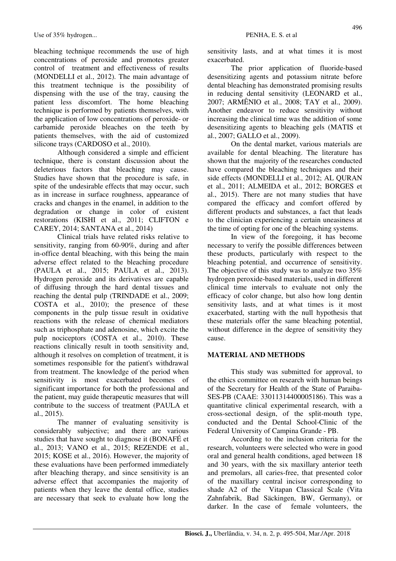bleaching technique recommends the use of high concentrations of peroxide and promotes greater control of treatment and effectiveness of results (MONDELLI et al., 2012). The main advantage of this treatment technique is the possibility of dispensing with the use of the tray, causing the patient less discomfort. The home bleaching technique is performed by patients themselves, with the application of low concentrations of peroxide- or carbamide peroxide bleaches on the teeth by patients themselves, with the aid of customized silicone trays (CARDOSO et al., 2010).

Although considered a simple and efficient technique, there is constant discussion about the deleterious factors that bleaching may cause. Studies have shown that the procedure is safe, in spite of the undesirable effects that may occur, such as in increase in surface roughness, appearance of cracks and changes in the enamel, in addition to the degradation or change in color of existent restorations (KISHI et al., 2011; CLIFTON e CAREY, 2014; SANTANA et al., 2014)

Clinical trials have related risks relative to sensitivity, ranging from 60-90%, during and after in-office dental bleaching, with this being the main adverse effect related to the bleaching procedure (PAULA et al., 2015; PAULA et al., 2013). Hydrogen peroxide and its derivatives are capable of diffusing through the hard dental tissues and reaching the dental pulp (TRINDADE et al., 2009; COSTA et al., 2010); the presence of these components in the pulp tissue result in oxidative reactions with the release of chemical mediators such as triphosphate and adenosine, which excite the pulp nociceptors (COSTA et al., 2010). These reactions clinically result in tooth sensitivity and, although it resolves on completion of treatment, it is sometimes responsible for the patient's withdrawal from treatment. The knowledge of the period when sensitivity is most exacerbated becomes of significant importance for both the professional and the patient, may guide therapeutic measures that will contribute to the success of treatment (PAULA et al., 2015).

The manner of evaluating sensitivity is considerably subjective; and there are various studies that have sought to diagnose it (BONAFÉ et al., 2013; VANO et al., 2015; REZENDE et al., 2015; KOSE et al., 2016). However, the majority of these evaluations have been performed immediately after bleaching therapy, and since sensitivity is an adverse effect that accompanies the majority of patients when they leave the dental office, studies are necessary that seek to evaluate how long the sensitivity lasts, and at what times it is most exacerbated.

The prior application of fluoride-based desensitizing agents and potassium nitrate before dental bleaching has demonstrated promising results in reducing dental sensitivity (LEONARD et al., 2007; ARMÊNIO et al., 2008; TAY et al., 2009). Another endeavor to reduce sensitivity without increasing the clinical time was the addition of some desensitizing agents to bleaching gels (MATIS et al., 2007; GALLO et al., 2009).

On the dental market, various materials are available for dental bleaching. The literature has shown that the majority of the researches conducted have compared the bleaching techniques and their side effects (MONDELLI et al., 2012; AL QURAN et al., 2011; ALMEIDA et al., 2012; BORGES et al., 2015). There are not many studies that have compared the efficacy and comfort offered by different products and substances, a fact that leads to the clinician experiencing a certain uneasiness at the time of opting for one of the bleaching systems.

In view of the foregoing, it has become necessary to verify the possible differences between these products, particularly with respect to the bleaching potential, and occurrence of sensitivity. The objective of this study was to analyze two 35% hydrogen peroxide-based materials, used in different clinical time intervals to evaluate not only the efficacy of color change, but also how long dentin sensitivity lasts, and at what times is it most exacerbated, starting with the null hypothesis that these materials offer the same bleaching potential, without difference in the degree of sensitivity they cause.

#### **MATERIAL AND METHODS**

This study was submitted for approval, to the ethics committee on research with human beings of the Secretary for Health of the State of Paraiba-SES-PB (CAAE: 33011314400005186). This was a quantitative clinical experimental research, with a cross-sectional design, of the split-mouth type, conducted and the Dental School-Clinic of the Federal University of Campina Grande - PB.

According to the inclusion criteria for the research, volunteers were selected who were in good oral and general health conditions, aged between 18 and 30 years, with the six maxillary anterior teeth and premolars, all caries-free, that presented color of the maxillary central incisor corresponding to shade A2 of the Vitapan Classical Scale (Vita Zahnfabrik, Bad Säckingen, BW, Germany), or darker. In the case of female volunteers, the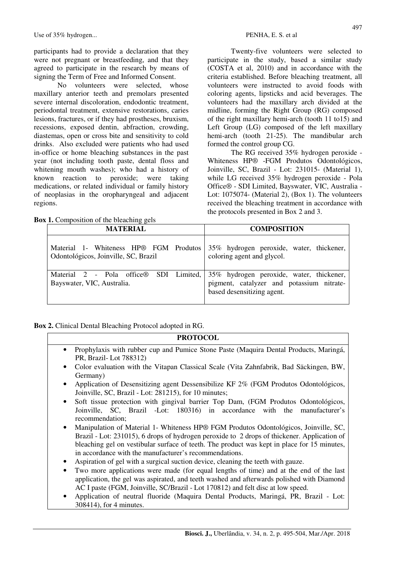Use of 35% hydrogen... PENHA, E. S. et al.

participants had to provide a declaration that they were not pregnant or breastfeeding, and that they agreed to participate in the research by means of signing the Term of Free and Informed Consent.

No volunteers were selected, whose maxillary anterior teeth and premolars presented severe internal discoloration, endodontic treatment, periodontal treatment, extensive restorations, caries lesions, fractures, or if they had prostheses, bruxism, recessions, exposed dentin, abfraction, crowding, diastemas, open or cross bite and sensitivity to cold drinks. Also excluded were patients who had used in-office or home bleaching substances in the past year (not including tooth paste, dental floss and whitening mouth washes); who had a history of known reaction to peroxide; were taking medications, or related individual or family history of neoplasias in the oropharyngeal and adjacent regions.

Twenty-five volunteers were selected to participate in the study, based a similar study (COSTA et al, 2010) and in accordance with the criteria established. Before bleaching treatment, all volunteers were instructed to avoid foods with coloring agents, lipsticks and acid beverages. The volunteers had the maxillary arch divided at the midline, forming the Right Group (RG) composed of the right maxillary hemi-arch (tooth 11 to15) and Left Group (LG) composed of the left maxillary hemi-arch (tooth 21-25). The mandibular arch formed the control group CG.

The RG received 35% hydrogen peroxide - Whiteness HP® -FGM Produtos Odontológicos, Joinville, SC, Brazil - Lot: 231015- (Material 1), while LG received 35% hydrogen peroxide - Pola Office® - SDI Limited, Bayswater, VIC, Australia - Lot: 1075074- (Material 2), (Box 1). The volunteers received the bleaching treatment in accordance with the protocols presented in Box 2 and 3.

| <b>Box 1.</b> Composition of the bleaching gels |  |
|-------------------------------------------------|--|
|-------------------------------------------------|--|

| <b>MATERIAL</b>                                                                | <b>COMPOSITION</b>                                                                                                  |  |  |  |  |
|--------------------------------------------------------------------------------|---------------------------------------------------------------------------------------------------------------------|--|--|--|--|
| Material 1- Whiteness HP® FGM Produtos<br>Odontológicos, Joinville, SC, Brazil | 35% hydrogen peroxide, water, thickener,<br>coloring agent and glycol.                                              |  |  |  |  |
| Material 2 - Pola office® SDI Limited,<br>Bayswater, VIC, Australia.           | 35% hydrogen peroxide, water, thickener,<br>pigment, catalyzer and potassium nitrate-<br>based desensitizing agent. |  |  |  |  |

**Box 2.** Clinical Dental Bleaching Protocol adopted in RG.

#### **PROTOCOL**

- Prophylaxis with rubber cup and Pumice Stone Paste (Maquira Dental Products, Maringá, PR, Brazil- Lot 788312)
- Color evaluation with the Vitapan Classical Scale (Vita Zahnfabrik, Bad Säckingen, BW, Germany)
- Application of Desensitizing agent Dessensibilize KF 2% (FGM Produtos Odontológicos, Joinville, SC, Brazil - Lot: 281215), for 10 minutes;
- Soft tissue protection with gingival barrier Top Dam, (FGM Produtos Odontológicos, Joinville, SC, Brazil -Lot: 180316) in accordance with the manufacturer's recommendation;
- Manipulation of Material 1- Whiteness HP® FGM Produtos Odontológicos, Joinville, SC, Brazil - Lot: 231015), 6 drops of hydrogen peroxide to 2 drops of thickener. Application of bleaching gel on vestibular surface of teeth. The product was kept in place for 15 minutes, in accordance with the manufacturer's recommendations.
- Aspiration of gel with a surgical suction device, cleaning the teeth with gauze.
- Two more applications were made (for equal lengths of time) and at the end of the last application, the gel was aspirated, and teeth washed and afterwards polished with Diamond AC I paste (FGM, Joinville, SC/Brazil - Lot 170812) and felt disc at low speed.
- Application of neutral fluoride (Maquira Dental Products, Maringá, PR, Brazil Lot: 308414), for 4 minutes.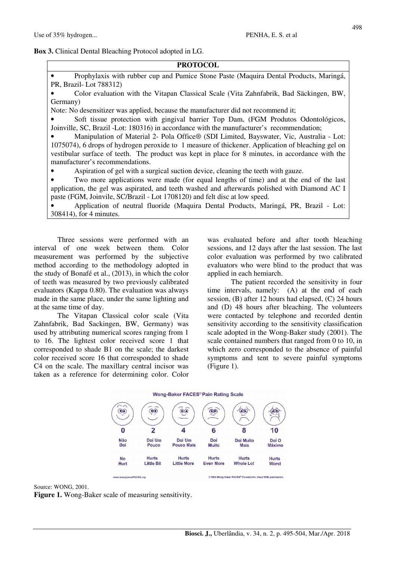# **Box 3.** Clinical Dental Bleaching Protocol adopted in LG.

# **PROTOCOL**

• Prophylaxis with rubber cup and Pumice Stone Paste (Maquira Dental Products, Maringá, PR, Brazil- Lot 788312)

• Color evaluation with the Vitapan Classical Scale (Vita Zahnfabrik, Bad Säckingen, BW, Germany)

Note: No desensitizer was applied, because the manufacturer did not recommend it;

• Soft tissue protection with gingival barrier Top Dam, (FGM Produtos Odontológicos, Joinville, SC, Brazil -Lot: 180316) in accordance with the manufacturer's recommendation;

• Manipulation of Material 2- Pola Office® (SDI Limited, Bayswater, Vic, Australia - Lot: 1075074), 6 drops of hydrogen peroxide to 1 measure of thickener. Application of bleaching gel on vestibular surface of teeth. The product was kept in place for 8 minutes, in accordance with the manufacturer's recommendations.

• Aspiration of gel with a surgical suction device, cleaning the teeth with gauze.

• Two more applications were made (for equal lengths of time) and at the end of the last application, the gel was aspirated, and teeth washed and afterwards polished with Diamond AC I paste (FGM, Joinvile, SC/Brazil - Lot 1708120) and felt disc at low speed.

• Application of neutral fluoride (Maquira Dental Products, Maringá, PR, Brazil - Lot: 308414), for 4 minutes.

Three sessions were performed with an interval of one week between them. Color measurement was performed by the subjective method according to the methodology adopted in the study of Bonafé et al., (2013), in which the color of teeth was measured by two previously calibrated evaluators (Kappa 0.80). The evaluation was always made in the same place, under the same lighting and at the same time of day.

The Vitapan Classical color scale (Vita Zahnfabrik, Bad Sackingen, BW, Germany) was used by attributing numerical scores ranging from 1 to 16. The lightest color received score 1 that corresponded to shade B1 on the scale; the darkest color received score 16 that corresponded to shade C4 on the scale. The maxillary central incisor was taken as a reference for determining color. Color was evaluated before and after tooth bleaching sessions, and 12 days after the last session. The last color evaluation was performed by two calibrated evaluators who were blind to the product that was applied in each hemiarch.

The patient recorded the sensitivity in four time intervals, namely: (A) at the end of each session, (B) after 12 hours had elapsed, (C) 24 hours and (D) 48 hours after bleaching. The volunteers were contacted by telephone and recorded dentin sensitivity according to the sensitivity classification scale adopted in the Wong-Baker study (2001). The scale contained numbers that ranged from 0 to 10, in which zero corresponded to the absence of painful symptoms and tent to severe painful symptoms (Figure 1).

#### Wong-Baker FACES<sup>®</sup> Pain Rating Scale





**Figure 1.** Wong-Baker scale of measuring sensitivity.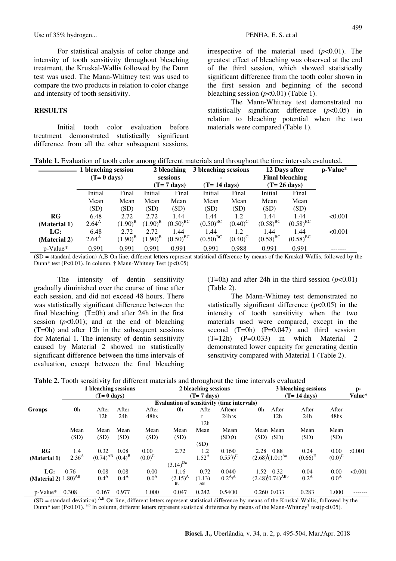Use of 35% hydrogen... PENHA, E. S. et al.

For statistical analysis of color change and intensity of tooth sensitivity throughout bleaching treatment, the Kruskal-Wallis followed by the Dunn test was used. The Mann-Whitney test was used to compare the two products in relation to color change and intensity of tooth sensitivity.

#### **RESULTS**

Initial tooth color evaluation before treatment demonstrated statistically significant difference from all the other subsequent sessions. 499

irrespective of the material used  $(p<0.01)$ . The greatest effect of bleaching was observed at the end of the third session, which showed statistically significant difference from the tooth color shown in the first session and beginning of the second bleaching session  $(p<0.01)$  (Table 1).

The Mann-Whitney test demonstrated no statistically significant difference (*p*<0.05) in relation to bleaching potential when the two materials were compared (Table 1).

|  | Table 1. Evaluation of tooth color among different materials and throughout the time intervals evaluated. |  |  |  |  |
|--|-----------------------------------------------------------------------------------------------------------|--|--|--|--|
|  |                                                                                                           |  |  |  |  |

|              | 1 bleaching session<br>$(T=0$ days) |                  | 2 bleaching<br>sessions<br>$(T=7 \text{ days})$ |               | 3 bleaching sessions<br>۰<br>$(T=14 \text{ days})$ |                  | 12 Days after<br><b>Final bleaching</b><br>$(T=26 \text{ days})$ | p-Value*               |         |
|--------------|-------------------------------------|------------------|-------------------------------------------------|---------------|----------------------------------------------------|------------------|------------------------------------------------------------------|------------------------|---------|
|              | Initial                             | Final            |                                                 | Final         | Initial                                            | Final            | Initial                                                          | Final                  |         |
|              | Mean                                | Mean             | Initial<br>Mean                                 | Mean          | Mean                                               | Mean             | Mean                                                             | Mean                   |         |
|              | (SD)                                | (SD)             | (SD)                                            | (SD)          | (SD)                                               | (SD)             | (SD)                                                             | (SD)                   |         |
| $_{\rm RG}$  | 6.48                                | 2.72             | 2.72                                            | 1.44          | 1.44                                               | 1.2              | 1.44                                                             | 1.44                   | < 0.001 |
| (Material 1) | $2.64^{A}$                          | $(1.90)^{\rm B}$ | $(1.90)^{B}$                                    | $(0.50)^{BC}$ | $(0.50)^{BC}$                                      | $(0.40)^{\circ}$ | $(0.58)^{BC}$                                                    | $(0.58)$ <sup>BC</sup> |         |
| LG:          | 6.48                                | 2.72             | 2.72                                            | 1.44          | 1.44                                               | 1.2              | 1.44                                                             | 1.44                   | < 0.001 |
| (Material 2) | $2.64^{A}$                          | $(1.90)^{B}$     | $(1.90)^{B}$                                    | $(0.50)^{BC}$ | $(0.50)^{BC}$                                      | $(0.40)^{C}$     | $(0.58)^{BC}$                                                    | $(0.58)^{BC}$          |         |
| $p$ -Value*  | 0.991                               | 0.991            | 0.991                                           | 0.991         | 0.991                                              | 0.988            | 0.991                                                            | 0.991                  |         |

(SD = standard deviation) A,B On line, different letters represent statistical difference by means of the Kruskal-Wallis, followed by the Dunn\* test (P<0.01). In column, † Mann-Whitney Test (p<0.05)

The intensity of dentin sensitivity gradually diminished over the course of time after each session, and did not exceed 48 hours. There was statistically significant difference between the final bleaching  $(T=0h)$  and after 24h in the first session  $(p<0.01)$ ; and at the end of bleaching (T=0h) and after 12h in the subsequent sessions for Material 1. The intensity of dentin sensitivity caused by Material 2 showed no statistically significant difference between the time intervals of evaluation, except between the final bleaching (T=0h) and after 24h in the third session  $(p<0.01)$ (Table 2).

The Mann-Whitney test demonstrated no statistically significant difference  $(p<0.05)$  in the intensity of tooth sensitivity when the two materials used were compared, except in the second  $(T=0h)$   $(P=0.047)$  and third session  $(T=12h)$   $(P=0.033)$  in which Material 2 demonstrated lower capacity for generating dentin sensitivity compared with Material 1 (Table 2).

|                                   |                                            | 1 bleaching sessions |                  |                      |                                      | 2 bleaching sessions |                          | Tor unforthe materials and unbughout the time meet (also                                                                                      | 3 bleaching sessions |                  |         |
|-----------------------------------|--------------------------------------------|----------------------|------------------|----------------------|--------------------------------------|----------------------|--------------------------|-----------------------------------------------------------------------------------------------------------------------------------------------|----------------------|------------------|---------|
| $(T=0$ days)                      |                                            |                      |                  | $(T=7 \text{ days})$ |                                      |                      |                          | $(T=14 \text{ days})$                                                                                                                         |                      |                  |         |
|                                   | Evaluation of sensitivity (time intervals) |                      |                  |                      |                                      |                      |                          |                                                                                                                                               |                      |                  |         |
| Groups                            | 0h                                         | After                | After            | After                | 0h                                   | Afte                 | Afterer                  | 0h<br>After                                                                                                                                   | After                | After            |         |
|                                   |                                            | 12h                  | 24h              | 48hs                 |                                      | r                    | $24h$ <sub>18</sub>      | 12h                                                                                                                                           | 24h                  | 48 <sub>hs</sub> |         |
|                                   |                                            |                      |                  |                      |                                      | 12h                  |                          |                                                                                                                                               |                      |                  |         |
|                                   | Mean                                       | Mean                 | Mean             | Mean                 | Mean                                 | Mean                 | Mean                     | Mean Mean                                                                                                                                     | Mean                 | Mean             |         |
|                                   | (SD)                                       | (SD)                 | (SD)             | (SD)                 | (SD)                                 |                      | (SDD)                    | $(SD)$ $(SD)$                                                                                                                                 | (SD)                 | (SD)             |         |
|                                   |                                            |                      |                  |                      |                                      | (SD)                 |                          |                                                                                                                                               |                      |                  |         |
| $_{\rm RG}$                       | 1.4                                        | 0.32                 | 0.08             | 0.00                 | 2.72                                 | 1.2                  | 0.160                    | 2.28<br>0.88                                                                                                                                  | 0.24                 | 0.00             | 50.001  |
| (Material 1)                      | 2.36 <sup>A</sup>                          | $(0.74)^{AB}$        | $(0.4)^{B}$      | $(0.0)^{C}$          |                                      | $1.52^{A}$           | $(0.55^{\circ})^{\circ}$ | $(2.68)^{l}(1.01)^{Aa}$                                                                                                                       | $(0.66)^{E}$         | $(0.0)^{C}$      |         |
|                                   |                                            |                      |                  |                      | $(3.14)^{Da}$                        |                      |                          |                                                                                                                                               |                      |                  |         |
| LG:                               | 0.76                                       | 0.08                 | 0.08             | 0.00                 | 1.16                                 | 0.72                 | 0.0400                   | 1.52 0.32                                                                                                                                     | 0.04                 | 0.00             | < 0.001 |
| (Material 2) $1.80$ <sup>AB</sup> |                                            | 0.4 <sup>A</sup>     | 0.4 <sup>A</sup> | 0.0 <sup>A</sup>     | $(2.15)^{A}$<br><b>B<sub>h</sub></b> | (1.13)<br>AB         | $0.2^{A}$ <sup>A</sup>   | $(2.48)$ <sup>1</sup> $(0.74)$ <sup>ABb</sup>                                                                                                 | 0.2 <sup>A</sup>     | 0.0 <sup>A</sup> |         |
| p-Value*                          | 0.308                                      | 0.167                | 0.977            | 1.000                | 0.047                                | 0.242                | 0.5400                   | 0.260 0.033                                                                                                                                   | 0.283                | 1.000            |         |
|                                   |                                            |                      |                  |                      |                                      |                      |                          | $(SD -$ standard deviation) $A,B$ On line, different letters represent statistical difference by means of the Kruskal-Wallis, followed by the |                      |                  |         |

On line, different letters represent statistical difference by means of the Kruskal-Wallis, followed by the Kru Dunn\* test (P<0.01). <sup>a,b</sup> In column, different letters represent statistical difference by means of the Mann-Whitney<sup>†</sup> test(p<0.05).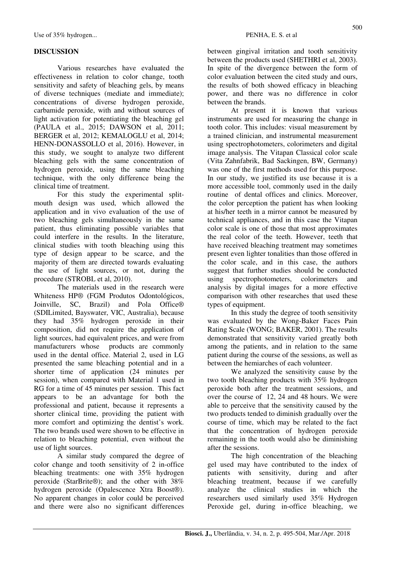# **DISCUSSION**

Various researches have evaluated the effectiveness in relation to color change, tooth sensitivity and safety of bleaching gels, by means of diverse techniques (mediate and immediate); concentrations of diverse hydrogen peroxide, carbamide peroxide, with and without sources of light activation for potentiating the bleaching gel (PAULA et al., 2015; DAWSON et al, 2011; BERGER et al, 2012; KEMALOGLU et al, 2014; HENN-DONASSOLLO et al, 2016). However, in this study, we sought to analyze two different bleaching gels with the same concentration of hydrogen peroxide, using the same bleaching technique, with the only difference being the clinical time of treatment.

For this study the experimental splitmouth design was used, which allowed the application and in vivo evaluation of the use of two bleaching gels simultaneously in the same patient, thus eliminating possible variables that could interfere in the results. In the literature, clinical studies with tooth bleaching using this type of design appear to be scarce, and the majority of them are directed towards evaluating the use of light sources, or not, during the procedure (STROBL et al, 2010).

The materials used in the research were Whiteness HP® (FGM Produtos Odontológicos, Joinville, SC, Brazil) and Pola Office® (SDILimited, Bayswater, VIC, Australia), because they had 35% hydrogen peroxide in their composition, did not require the application of light sources, had equivalent prices, and were from manufacturers whose products are commonly used in the dental office. Material 2, used in LG presented the same bleaching potential and in a shorter time of application (24 minutes per session), when compared with Material 1 used in RG for a time of 45 minutes per session. This fact appears to be an advantage for both the professional and patient, because it represents a shorter clinical time, providing the patient with more comfort and optimizing the dentist's work. The two brands used were shown to be effective in relation to bleaching potential, even without the use of light sources.

A similar study compared the degree of color change and tooth sensitivity of 2 in-office bleaching treatments: one with 35% hydrogen peroxide (StarBrite®); and the other with 38% hydrogen peroxide (Opalescence Xtra Boost®). No apparent changes in color could be perceived and there were also no significant differences between gingival irritation and tooth sensitivity between the products used (SHETHRI et al, 2003). In spite of the divergence between the form of color evaluation between the cited study and ours, the results of both showed efficacy in bleaching power, and there was no difference in color between the brands.

At present it is known that various instruments are used for measuring the change in tooth color. This includes: visual measurement by a trained clinician, and instrumental measurement using spectrophotometers, colorimeters and digital image analysis. The Vitapan Classical color scale (Vita Zahnfabrik, Bad Sackingen, BW, Germany) was one of the first methods used for this purpose. In our study, we justified its use because it is a more accessible tool, commonly used in the daily routine of dental offices and clinics. Moreover, the color perception the patient has when looking at his/her teeth in a mirror cannot be measured by technical appliances, and in this case the Vitapan color scale is one of those that most approximates the real color of the teeth. However, teeth that have received bleaching treatment may sometimes present even lighter tonalities than those offered in the color scale, and in this case, the authors suggest that further studies should be conducted using spectrophotometers, colorimeters and analysis by digital images for a more effective comparison with other researches that used these types of equipment.

In this study the degree of tooth sensitivity was evaluated by the Wong-Baker Faces Pain Rating Scale (WONG; BAKER, 2001). The results demonstrated that sensitivity varied greatly both among the patients, and in relation to the same patient during the course of the sessions, as well as between the hemiarches of each volunteer.

We analyzed the sensitivity cause by the two tooth bleaching products with 35% hydrogen peroxide both after the treatment sessions, and over the course of 12, 24 and 48 hours. We were able to perceive that the sensitivity caused by the two products tended to diminish gradually over the course of time, which may be related to the fact that the concentration of hydrogen peroxide remaining in the tooth would also be diminishing after the sessions.

The high concentration of the bleaching gel used may have contributed to the index of patients with sensitivity, during and after bleaching treatment, because if we carefully analyze the clinical studies in which the researchers used similarly used 35% Hydrogen Peroxide gel, during in-office bleaching, we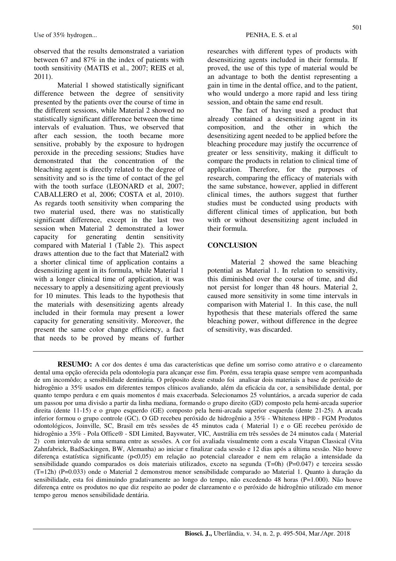observed that the results demonstrated a variation between 67 and 87% in the index of patients with tooth sensitivity (MATIS et al., 2007; REIS et al, 2011).

Material 1 showed statistically significant difference between the degree of sensitivity presented by the patients over the course of time in the different sessions, while Material 2 showed no statistically significant difference between the time intervals of evaluation. Thus, we observed that after each session, the tooth became more sensitive, probably by the exposure to hydrogen peroxide in the preceding sessions; Studies have demonstrated that the concentration of the bleaching agent is directly related to the degree of sensitivity and so is the time of contact of the gel with the tooth surface (LEONARD et al, 2007; CABALLERO et al, 2006; COSTA et al, 2010). As regards tooth sensitivity when comparing the two material used, there was no statistically significant difference, except in the last two session when Material 2 demonstrated a lower capacity for generating dentin sensitivity compared with Material 1 (Table 2). This aspect draws attention due to the fact that Material2 with a shorter clinical time of application contains a desensitizing agent in its formula, while Material 1 with a longer clinical time of application, it was necessary to apply a desensitizing agent previously for 10 minutes. This leads to the hypothesis that the materials with desensitizing agents already included in their formula may present a lower capacity for generating sensitivity. Moreover, the present the same color change efficiency, a fact that needs to be proved by means of further researches with different types of products with desensitizing agents included in their formula. If proved, the use of this type of material would be an advantage to both the dentist representing a gain in time in the dental office, and to the patient, who would undergo a more rapid and less tiring session, and obtain the same end result.

The fact of having used a product that already contained a desensitizing agent in its composition, and the other in which the desensitizing agent needed to be applied before the bleaching procedure may justify the occurrence of greater or less sensitivity, making it difficult to compare the products in relation to clinical time of application. Therefore, for the purposes of research, comparing the efficacy of materials with the same substance, however, applied in different clinical times, the authors suggest that further studies must be conducted using products with different clinical times of application, but both with or without desensitizing agent included in their formula.

# **CONCLUSION**

Material 2 showed the same bleaching potential as Material 1. In relation to sensitivity, this diminished over the course of time, and did not persist for longer than 48 hours. Material 2, caused more sensitivity in some time intervals in comparison with Material 1. In this case, the null hypothesis that these materials offered the same bleaching power, without difference in the degree of sensitivity, was discarded.

**RESUMO:** A cor dos dentes é uma das características que define um sorriso como atrativo e o clareamento dental uma opção oferecida pela odontologia para alcançar esse fim. Porém, essa terapia quase sempre vem acompanhada de um incomôdo; a sensibilidade dentinária. O próposito deste estudo foi analisar dois materiais a base de peróxido de hidrogênio a 35% usados em diferentes tempos clínicos avaliando, além da eficácia da cor, a sensibilidade dental, por quanto tempo perdura e em quais momentos é mais exacerbada. Selecionamos 25 voluntários, a arcada superior de cada um passou por uma divisão a partir da linha mediana, formando o grupo direito (GD) composto pela hemi-arcada superior direita (dente 11-15) e o grupo esquerdo (GE) composto pela hemi-arcada superior esquerda (dente 21-25). A arcada inferior formou o grupo controle (GC). O GD recebeu peróxido de hidrogênio a 35% - Whiteness HP® - FGM Produtos odontológicos, Joinville, SC, Brasil em três sessões de 45 minutos cada ( Material 1) e o GE recebeu peróxido de hidrogênio a 35% - Pola Office® - SDI Limited, Bayswater, VIC, Austrália em três sessões de 24 minutos cada ( Material 2) com intervalo de uma semana entre as sessões. A cor foi avaliada visualmente com a escala Vitapan Classical (Vita Zahnfabrick, BadSackingen, BW, Alemanha) ao iniciar e finalizar cada sessão e 12 dias após a última sessão. Não houve diferença estatística significante (p<0,05) em relação ao potencial clareador e nem em relação a intensidade da sensibilidade quando comparados os dois materiais utilizados, exceto na segunda (T=0h) (P=0.047) e terceira sessão (T=12h) (P=0.033) onde o Material 2 demonstrou menor sensibilidade comparado ao Material 1. Quanto à duração da sensibilidade, esta foi diminuindo gradativamente ao longo do tempo, não excedendo 48 horas (P=1.000). Não houve diferença entre os produtos no que diz respeito ao poder de clareamento e o peróxido de hidrogênio utilizado em menor tempo gerou menos sensibilidade dentária.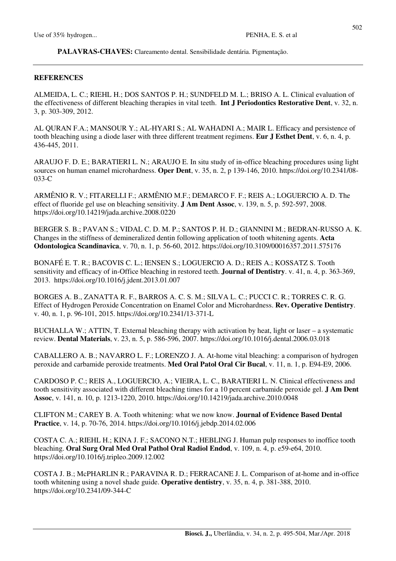**PALAVRAS-CHAVES:** Clareamento dental. Sensibilidade dentária. Pigmentação.

#### **REFERENCES**

ALMEIDA, L. C.; RIEHL H.; DOS SANTOS P. H.; SUNDFELD M. L.; BRISO A. L. Clinical evaluation of the effectiveness of different bleaching therapies in vital teeth. **Int J Periodontics Restorative Dent**, v. 32, n. 3, p. 303-309, 2012.

AL QURAN F.A.; MANSOUR Y.; AL-HYARI S.; AL WAHADNI A.; MAIR L. Efficacy and persistence of tooth bleaching using a diode laser with three different treatment regimens. **Eur J Esthet Dent**, v. 6, n. 4, p. 436-445, 2011.

ARAUJO F. D. E.; BARATIERI L. N.; ARAUJO E. In situ study of in-office bleaching procedures using light sources on human enamel microhardness. **Oper Dent**, v. 35, n. 2, p 139-146, 2010. https://doi.org/10.2341/08- 033-C

ARMÊNIO R. V.; FITARELLI F.; ARMÊNIO M.F.; DEMARCO F. F.; REIS A.; LOGUERCIO A. D. The effect of fluoride gel use on bleaching sensitivity. **J Am Dent Assoc**, v. 139, n. 5, p. 592-597, 2008. https://doi.org/10.14219/jada.archive.2008.0220

BERGER S. B.; PAVAN S.; VIDAL C. D. M. P.; SANTOS P. H. D.; GIANNINI M.; BEDRAN-RUSSO A. K. Changes in the stiffness of demineralized dentin following application of tooth whitening agents. **Acta Odontologica Scandinavica**, v. 70, n. 1, p. 56-60, 2012. https://doi.org/10.3109/00016357.2011.575176

BONAFÉ E. T. R.; BACOVIS C. L.; IENSEN S.; LOGUERCIO A. D.; REIS A.; KOSSATZ S. Tooth sensitivity and efficacy of in-Office bleaching in restored teeth. **Journal of Dentistry**. v. 41, n. 4, p. 363-369, 2013. https://doi.org/10.1016/j.jdent.2013.01.007

BORGES A. B., ZANATTA R. F., BARROS A. C. S. M.; SILVA L. C.; PUCCI C. R.; TORRES C. R. G. Effect of Hydrogen Peroxide Concentration on Enamel Color and Microhardness. **Rev. Operative Dentistry**. v. 40, n. 1, p. 96-101, 2015. https://doi.org/10.2341/13-371-L

BUCHALLA W.; ATTIN, T. External bleaching therapy with activation by heat, light or laser – a systematic review. **Dental Materials**, v. 23, n. 5, p. 586-596, 2007. https://doi.org/10.1016/j.dental.2006.03.018

CABALLERO A. B.; NAVARRO L. F.; LORENZO J. A. At-home vital bleaching: a comparison of hydrogen peroxide and carbamide peroxide treatments. **Med Oral Patol Oral Cir Bucal**, v. 11, n. 1, p. E94-E9, 2006.

CARDOSO P. C.; REIS A., LOGUERCIO, A.; VIEIRA, L. C., BARATIERI L. N. Clinical effectiveness and tooth sensitivity associated with different bleaching times for a 10 percent carbamide peroxide gel. **J Am Dent Assoc**, v. 141, n. 10, p. 1213-1220, 2010. https://doi.org/10.14219/jada.archive.2010.0048

CLIFTON M.; CAREY B. A. Tooth whitening: what we now know. **Journal of Evidence Based Dental Practice**, v. 14, p. 70-76, 2014. https://doi.org/10.1016/j.jebdp.2014.02.006

COSTA C. A.; RIEHL H.; KINA J. F.; SACONO N.T.; HEBLING J. Human pulp responses to inoffice tooth bleaching. **Oral Surg Oral Med Oral Pathol Oral Radiol Endod**, v. 109, n. 4, p. e59-e64, 2010. https://doi.org/10.1016/j.tripleo.2009.12.002

COSTA J. B.; McPHARLIN R.; PARAVINA R. D.; FERRACANE J. L. Comparison of at-home and in-office tooth whitening using a novel shade guide. **Operative dentistry**, v. 35, n. 4, p. 381-388, 2010. https://doi.org/10.2341/09-344-C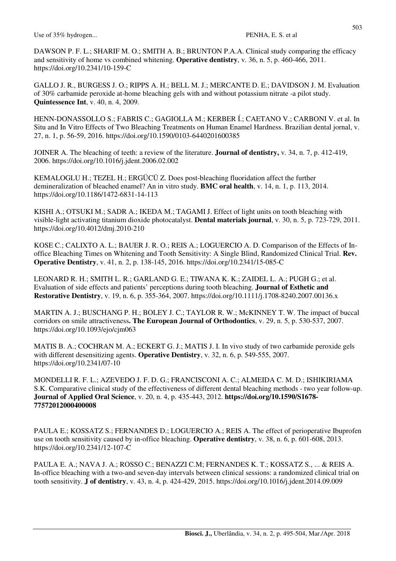DAWSON P. F. L.; SHARIF M. O.; SMITH A. B.; BRUNTON P.A.A. Clinical study comparing the efficacy and sensitivity of home vs combined whitening. **Operative dentistry**, v. 36, n. 5, p. 460-466, 2011. https://doi.org/10.2341/10-159-C

GALLO J. R., BURGESS J. O.; RIPPS A. H.; BELL M. J.; MERCANTE D. E.; DAVIDSON J. M. Evaluation of 30% carbamide peroxide at-home bleaching gels with and without potassium nitrate -a pilot study. **Quintessence Int**, v. 40, n. 4, 2009.

HENN-DONASSOLLO S.; FABRIS C.; GAGIOLLA M.; KERBER Í.; CAETANO V.; CARBONI V. et al. In Situ and In Vitro Effects of Two Bleaching Treatments on Human Enamel Hardness. Brazilian dental jornal, v. 27, n. 1, p. 56-59, 2016. https://doi.org/10.1590/0103-6440201600385

JOINER A. The bleaching of teeth: a review of the literature. **Journal of dentistry,** v. 34, n. 7, p. 412-419, 2006. https://doi.org/10.1016/j.jdent.2006.02.002

KEMALOGLU H.; TEZEL H.; ERGÜCÜ Z. Does post-bleaching fluoridation affect the further demineralization of bleached enamel? An in vitro study. **BMC oral health**, v. 14, n. 1, p. 113, 2014. https://doi.org/10.1186/1472-6831-14-113

KISHI A.; OTSUKI M.; SADR A.; IKEDA M.; TAGAMI J. Effect of light units on tooth bleaching with visible-light activating titanium dioxide photocatalyst. **Dental materials journal**, v. 30, n. 5, p. 723-729, 2011. https://doi.org/10.4012/dmj.2010-210

KOSE C.; CALIXTO A. L.; BAUER J. R. O.; REIS A.; LOGUERCIO A. D. Comparison of the Effects of Inoffice Bleaching Times on Whitening and Tooth Sensitivity: A Single Blind, Randomized Clinical Trial. **Rev. Operative Dentistry**, v. 41, n. 2, p. 138-145, 2016. https://doi.org/10.2341/15-085-C

LEONARD R. H.; SMITH L. R.; GARLAND G. E.; TIWANA K. K.; ZAIDEL L. A.; PUGH G.; et al. Evaluation of side effects and patients' perceptions during tooth bleaching. **Journal of Esthetic and Restorative Dentistry**, v. 19, n. 6, p. 355-364, 2007. https://doi.org/10.1111/j.1708-8240.2007.00136.x

MARTIN A. J.; BUSCHANG P. H.; BOLEY J. C.; TAYLOR R. W.; McKINNEY T. W. The impact of buccal corridors on smile attractiveness**. The European Journal of Orthodontics**, v. 29, n. 5, p. 530-537, 2007. https://doi.org/10.1093/ejo/cjm063

MATIS B. A.; COCHRAN M. A.; ECKERT G. J.; MATIS J. I. In vivo study of two carbamide peroxide gels with different desensitizing agents. **Operative Dentistry**, v. 32, n. 6, p. 549-555, 2007. https://doi.org/10.2341/07-10

MONDELLI R. F. L.; AZEVEDO J. F. D. G.; FRANCISCONI A. C.; ALMEIDA C. M. D.; ISHIKIRIAMA S.K. Comparative clinical study of the effectiveness of different dental bleaching methods - two year follow-up. **Journal of Applied Oral Science**, v. 20, n. 4, p. 435-443, 2012. **https://doi.org/10.1590/S1678- 77572012000400008**

PAULA E.; KOSSATZ S.; FERNANDES D.; LOGUERCIO A.; REIS A. The effect of perioperative Ibuprofen use on tooth sensitivity caused by in-office bleaching. **Operative dentistry**, v. 38, n. 6, p. 601-608, 2013. https://doi.org/10.2341/12-107-C

PAULA E. A.; NAVA J. A.; ROSSO C.; BENAZZI C.M; FERNANDES K. T.; KOSSATZ S., ... & REIS A. In-office bleaching with a two-and seven-day intervals between clinical sessions: a randomized clinical trial on tooth sensitivity. **J of dentistry**, v. 43, n. 4, p. 424-429, 2015. https://doi.org/10.1016/j.jdent.2014.09.009